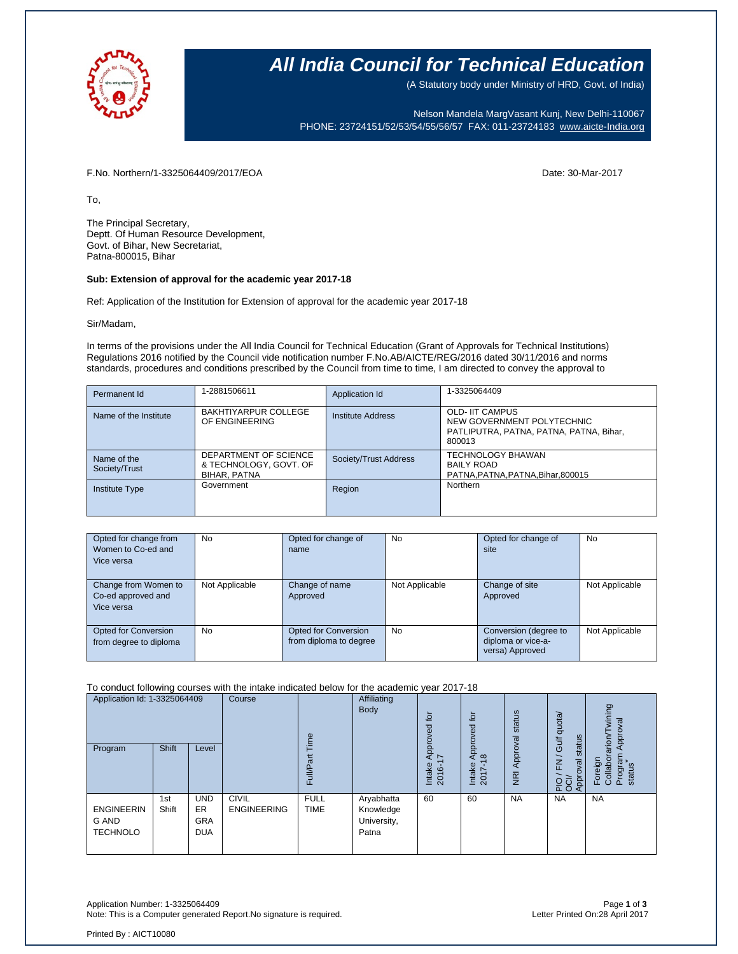

### **All India Council for Technical Education**

(A Statutory body under Ministry of HRD, Govt. of India)

Nelson Mandela MargVasant Kunj, New Delhi-110067 PHONE: 23724151/52/53/54/55/56/57 FAX: 011-23724183 [www.aicte-India.org](http://www.aicte-india.org/)

F.No. Northern/1-3325064409/2017/EOA Date: 30-Mar-2017

To,

The Principal Secretary, Deptt. Of Human Resource Development, Govt. of Bihar, New Secretariat, Patna-800015, Bihar

#### **Sub: Extension of approval for the academic year 2017-18**

Ref: Application of the Institution for Extension of approval for the academic year 2017-18

Sir/Madam,

In terms of the provisions under the All India Council for Technical Education (Grant of Approvals for Technical Institutions) Regulations 2016 notified by the Council vide notification number F.No.AB/AICTE/REG/2016 dated 30/11/2016 and norms standards, procedures and conditions prescribed by the Council from time to time, I am directed to convey the approval to

| Permanent Id                 | 1-2881506611                                                    | Application Id        | 1-3325064409                                                                                              |
|------------------------------|-----------------------------------------------------------------|-----------------------|-----------------------------------------------------------------------------------------------------------|
| Name of the Institute        | <b>BAKHTIYARPUR COLLEGE</b><br>OF ENGINEERING                   | Institute Address     | <b>OLD- IIT CAMPUS</b><br>NEW GOVERNMENT POLYTECHNIC<br>PATLIPUTRA, PATNA, PATNA, PATNA, Bihar,<br>800013 |
| Name of the<br>Society/Trust | DEPARTMENT OF SCIENCE<br>& TECHNOLOGY, GOVT. OF<br>BIHAR, PATNA | Society/Trust Address | <b>TECHNOLOGY BHAWAN</b><br><b>BAILY ROAD</b><br>PATNA, PATNA, PATNA, Bihar, 800015                       |
| Institute Type               | Government                                                      | Region                | Northern                                                                                                  |

| Opted for change from<br>Women to Co-ed and<br>Vice versa | No             | Opted for change of<br>name                    | No             | Opted for change of<br>site                                    | No             |
|-----------------------------------------------------------|----------------|------------------------------------------------|----------------|----------------------------------------------------------------|----------------|
| Change from Women to<br>Co-ed approved and<br>Vice versa  | Not Applicable | Change of name<br>Approved                     | Not Applicable | Change of site<br>Approved                                     | Not Applicable |
| Opted for Conversion<br>from degree to diploma            | No             | Opted for Conversion<br>from diploma to degree | No             | Conversion (degree to<br>diploma or vice-a-<br>versa) Approved | Not Applicable |

#### To conduct following courses with the intake indicated below for the academic year 2017-18

| Application Id: 1-3325064409<br>Program              | <b>Shift</b> | Level                                        | Course                             | Time<br>ಹ<br>Full          | Affiliating<br><b>Body</b>                      | for<br>ᄝ<br>Approv<br>7<br>Intake<br>2016- | tor<br>Approved<br>$\infty$<br>Intake<br>2017 | status<br>Approval<br>$\overline{g}$ | Gulf quota/<br>status<br>$\overline{\phantom{0}}$<br>$\overline{\underline{\epsilon}}$<br>λã<br>PIO / F<br>OCI/<br>Approv | wining<br>Approval<br>Foreign<br>Collaborarion/T<br>Program<br>status |
|------------------------------------------------------|--------------|----------------------------------------------|------------------------------------|----------------------------|-------------------------------------------------|--------------------------------------------|-----------------------------------------------|--------------------------------------|---------------------------------------------------------------------------------------------------------------------------|-----------------------------------------------------------------------|
| <b>ENGINEERIN</b><br><b>G AND</b><br><b>TECHNOLO</b> | 1st<br>Shift | <b>UND</b><br>ER<br><b>GRA</b><br><b>DUA</b> | <b>CIVIL</b><br><b>ENGINEERING</b> | <b>FULL</b><br><b>TIME</b> | Aryabhatta<br>Knowledge<br>University,<br>Patna | 60                                         | 60                                            | <b>NA</b>                            | <b>NA</b>                                                                                                                 | <b>NA</b>                                                             |

Application Number: 1-3325064409 Page **1** of **3** Note: This is a Computer generated Report.No signature is required.

Printed By : AICT10080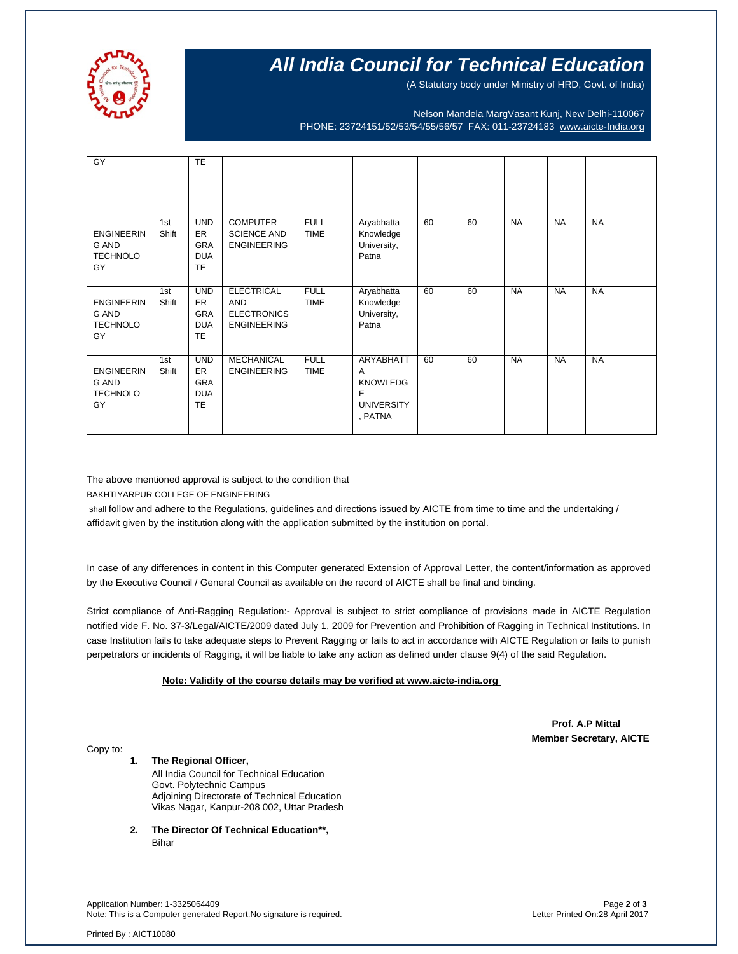

# **All India Council for Technical Education**

(A Statutory body under Ministry of HRD, Govt. of India)

Nelson Mandela MargVasant Kunj, New Delhi-110067 PHONE: 23724151/52/53/54/55/56/57 FAX: 011-23724183 [www.aicte-India.org](http://www.aicte-india.org/)

| GY                                                  |              | <b>TE</b>                                                        |                                                                             |                            |                                                                                          |    |    |           |           |           |
|-----------------------------------------------------|--------------|------------------------------------------------------------------|-----------------------------------------------------------------------------|----------------------------|------------------------------------------------------------------------------------------|----|----|-----------|-----------|-----------|
| <b>ENGINEERIN</b><br>G AND<br><b>TECHNOLO</b><br>GY | 1st<br>Shift | <b>UND</b><br>ER.<br><b>GRA</b><br><b>DUA</b><br><b>TE</b>       | <b>COMPUTER</b><br><b>SCIENCE AND</b><br><b>ENGINEERING</b>                 | <b>FULL</b><br><b>TIME</b> | Aryabhatta<br>Knowledge<br>University,<br>Patna                                          | 60 | 60 | <b>NA</b> | <b>NA</b> | <b>NA</b> |
| <b>ENGINEERIN</b><br>G AND<br><b>TECHNOLO</b><br>GY | 1st<br>Shift | <b>UND</b><br><b>ER</b><br><b>GRA</b><br><b>DUA</b><br><b>TE</b> | <b>ELECTRICAL</b><br><b>AND</b><br><b>ELECTRONICS</b><br><b>ENGINEERING</b> | <b>FULL</b><br><b>TIME</b> | Aryabhatta<br>Knowledge<br>University,<br>Patna                                          | 60 | 60 | <b>NA</b> | <b>NA</b> | <b>NA</b> |
| <b>ENGINEERIN</b><br>G AND<br><b>TECHNOLO</b><br>GY | 1st<br>Shift | <b>UND</b><br>ER<br><b>GRA</b><br><b>DUA</b><br><b>TE</b>        | <b>MECHANICAL</b><br><b>ENGINEERING</b>                                     | <b>FULL</b><br><b>TIME</b> | <b>ARYABHATT</b><br>$\mathsf{A}$<br><b>KNOWLEDG</b><br>E<br><b>UNIVERSITY</b><br>, PATNA | 60 | 60 | <b>NA</b> | <b>NA</b> | <b>NA</b> |

The above mentioned approval is subject to the condition that

BAKHTIYARPUR COLLEGE OF ENGINEERING

shall follow and adhere to the Regulations, guidelines and directions issued by AICTE from time to time and the undertaking / affidavit given by the institution along with the application submitted by the institution on portal.

In case of any differences in content in this Computer generated Extension of Approval Letter, the content/information as approved by the Executive Council / General Council as available on the record of AICTE shall be final and binding.

Strict compliance of Anti-Ragging Regulation:- Approval is subject to strict compliance of provisions made in AICTE Regulation notified vide F. No. 37-3/Legal/AICTE/2009 dated July 1, 2009 for Prevention and Prohibition of Ragging in Technical Institutions. In case Institution fails to take adequate steps to Prevent Ragging or fails to act in accordance with AICTE Regulation or fails to punish perpetrators or incidents of Ragging, it will be liable to take any action as defined under clause 9(4) of the said Regulation.

#### **Note: Validity of the course details may be verified at www.aicte-india.org**

 **Prof. A.P Mittal Member Secretary, AICTE**

Copy to:

**1. The Regional Officer,** All India Council for Technical Education Govt. Polytechnic Campus Adjoining Directorate of Technical Education Vikas Nagar, Kanpur-208 002, Uttar Pradesh

**2. The Director Of Technical Education\*\*,** Bihar